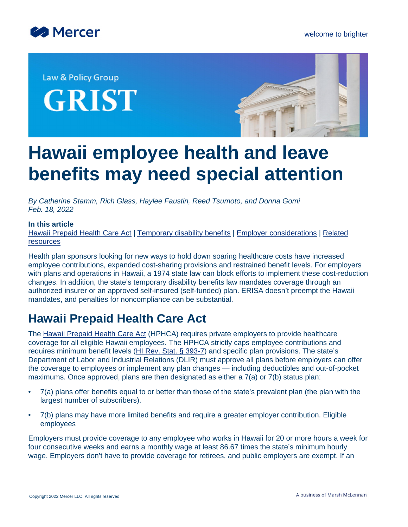



Law & Policy Group **GRIST** 



# **Hawaii employee health and leave benefits may need special attention**

*By Catherine Stamm, Rich Glass, Haylee Faustin, Reed Tsumoto, and Donna Gomi Feb. 18, 2022*

#### **In this article**

[Hawaii Prepaid Health Care Act](#page-0-0) | [Temporary disability benefits](#page-5-0) | [Employer considerations](#page-6-0) | [Related](#page-7-0) [resources](#page-7-0)

Health plan sponsors looking for new ways to hold down soaring healthcare costs have increased employee contributions, expanded cost-sharing provisions and restrained benefit levels. For employers with plans and operations in Hawaii, a 1974 state law can block efforts to implement these cost-reduction changes. In addition, the state's temporary disability benefits law mandates coverage through an authorized insurer or an approved self-insured (self-funded) plan. ERISA doesn't preempt the Hawaii mandates, and penalties for noncompliance can be substantial.

# <span id="page-0-0"></span>**Hawaii Prepaid Health Care Act**

The [Hawaii Prepaid Health Care Act](http://www.capitol.hawaii.gov/hrscurrent/Vol07_Ch0346-0398/HRS0393/HRS_0393-.htm) (HPHCA) requires private employers to provide healthcare coverage for all eligible Hawaii employees. The HPHCA strictly caps employee contributions and requires minimum benefit levels ([HI Rev. Stat. § 393-7\)](https://www.capitol.hawaii.gov/hrscurrent/vol07_ch0346-0398/hrs0393/HRS_0393-0007.htm) and specific plan provisions. The state's Department of Labor and Industrial Relations (DLIR) must approve all plans before employers can offer the coverage to employees or implement any plan changes — including deductibles and out-of-pocket maximums. Once approved, plans are then designated as either a 7(a) or 7(b) status plan:

- 7(a) plans offer benefits equal to or better than those of the state's prevalent plan (the plan with the largest number of subscribers).
- 7(b) plans may have more limited benefits and require a greater employer contribution. Eligible employees

Employers must provide coverage to any employee who works in Hawaii for 20 or more hours a week for four consecutive weeks and earns a monthly wage at least 86.67 times the state's minimum hourly wage. Employers don't have to provide coverage for retirees, and public employers are exempt. If an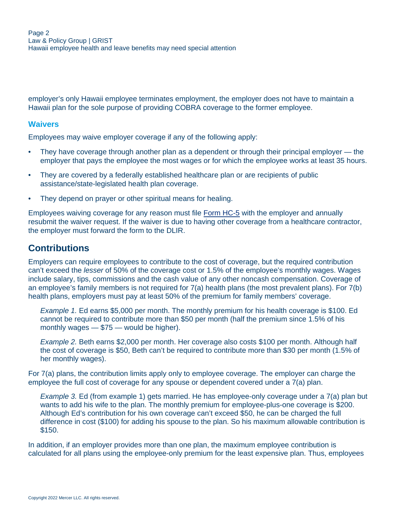employer's only Hawaii employee terminates employment, the employer does not have to maintain a Hawaii plan for the sole purpose of providing COBRA coverage to the former employee.

#### **Waivers**

Employees may waive employer coverage if any of the following apply:

- They have coverage through another plan as a dependent or through their principal employer the employer that pays the employee the most wages or for which the employee works at least 35 hours.
- They are covered by a federally established healthcare plan or are recipients of public assistance/state-legislated health plan coverage.
- They depend on prayer or other spiritual means for healing.

Employees waiving coverage for any reason must file [Form HC-5](http://labor.hawaii.gov/dcd/forms/#PHC) with the employer and annually resubmit the waiver request. If the waiver is due to having other coverage from a healthcare contractor, the employer must forward the form to the DLIR.

#### **Contributions**

Employers can require employees to contribute to the cost of coverage, but the required contribution can't exceed the *lesser* of 50% of the coverage cost or 1.5% of the employee's monthly wages. Wages include salary, tips, commissions and the cash value of any other noncash compensation. Coverage of an employee's family members is not required for  $7(a)$  health plans (the most prevalent plans). For  $7(b)$ health plans, employers must pay at least 50% of the premium for family members' coverage.

*Example 1.* Ed earns \$5,000 per month. The monthly premium for his health coverage is \$100. Ed cannot be required to contribute more than \$50 per month (half the premium since 1.5% of his monthly wages — \$75 — would be higher).

*Example 2.* Beth earns \$2,000 per month. Her coverage also costs \$100 per month. Although half the cost of coverage is \$50, Beth can't be required to contribute more than \$30 per month (1.5% of her monthly wages).

For 7(a) plans, the contribution limits apply only to employee coverage. The employer can charge the employee the full cost of coverage for any spouse or dependent covered under a 7(a) plan.

*Example 3.* Ed (from example 1) gets married. He has employee-only coverage under a 7(a) plan but wants to add his wife to the plan. The monthly premium for employee-plus-one coverage is \$200. Although Ed's contribution for his own coverage can't exceed \$50, he can be charged the full difference in cost (\$100) for adding his spouse to the plan. So his maximum allowable contribution is \$150.

In addition, if an employer provides more than one plan, the maximum employee contribution is calculated for all plans using the employee-only premium for the least expensive plan. Thus, employees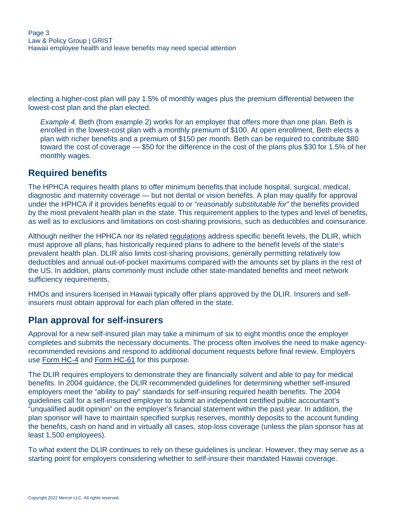electing a higher-cost plan will pay 1.5% of monthly wages plus the premium differential between the lowest-cost plan and the plan elected.

*Example 4.* Beth (from example 2) works for an employer that offers more than one plan. Beth is enrolled in the lowest-cost plan with a monthly premium of \$100. At open enrollment, Beth elects a plan with richer benefits and a premium of \$150 per month. Beth can be required to contribute \$80 toward the cost of coverage — \$50 for the difference in the cost of the plans plus \$30 for 1.5% of her monthly wages.

# **Required benefits**

The HPHCA requires health plans to offer minimum benefits that include hospital, surgical, medical, diagnostic and maternity coverage — but not dental or vision benefits. A plan may qualify for approval under the HPHCA if it provides benefits equal to or "*reasonably substitutable for*" the benefits provided by the most prevalent health plan in the state. This requirement applies to the types and level of benefits, as well as to exclusions and limitations on cost-sharing provisions, such as deductibles and coinsurance.

Although neither the HPHCA nor its related [regulations](https://labor.hawaii.gov/dcd/files/2012/11/PHC-Admin-Rules.pdf) address specific benefit levels, the DLIR, which must approve all plans, has historically required plans to adhere to the benefit levels of the state's prevalent health plan. DLIR also limits cost-sharing provisions, generally permitting relatively low deductibles and annual out-of-pocket maximums compared with the amounts set by plans in the rest of the US. In addition, plans commonly must include other state-mandated benefits and meet network sufficiency requirements.

HMOs and insurers licensed in Hawaii typically offer plans approved by the DLIR. Insurers and selfinsurers must obtain approval for each plan offered in the state.

## **Plan approval for self-insurers**

Approval for a new self-insured plan may take a minimum of six to eight months once the employer completes and submits the necessary documents. The process often involves the need to make agencyrecommended revisions and respond to additional document requests before final review. Employers use [Form HC-4](http://labor.hawaii.gov/dcd/files/2012/11/HC-4.pdf) and [Form HC-61](http://labor.hawaii.gov/dcd/files/2012/11/HC-61.pdf) for this purpose.

The DLIR requires employers to demonstrate they are financially solvent and able to pay for medical benefits. In 2004 guidance, the DLIR recommended guidelines for determining whether self-insured employers meet the "ability to pay" standards for self-insuring required health benefits. The 2004 guidelines call for a self-insured employer to submit an independent certified public accountant's "unqualified audit opinion" on the employer's financial statement within the past year. In addition, the plan sponsor will have to maintain specified surplus reserves, monthly deposits to the account funding the benefits, cash on hand and in virtually all cases, stop-loss coverage (unless the plan sponsor has at least 1,500 employees).

To what extent the DLIR continues to rely on these guidelines is unclear. However, they may serve as a starting point for employers considering whether to self-insure their mandated Hawaii coverage.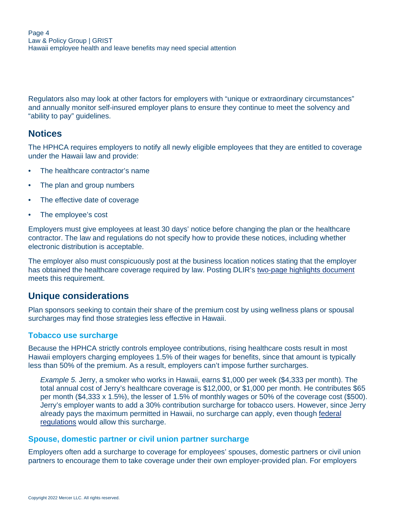Regulators also may look at other factors for employers with "unique or extraordinary circumstances" and annually monitor self-insured employer plans to ensure they continue to meet the solvency and "ability to pay" guidelines.

#### **Notices**

The HPHCA requires employers to notify all newly eligible employees that they are entitled to coverage under the Hawaii law and provide:

- The healthcare contractor's name
- The plan and group numbers
- The effective date of coverage
- The employee's cost

Employers must give employees at least 30 days' notice before changing the plan or the healthcare contractor. The law and regulations do not specify how to provide these notices, including whether electronic distribution is acceptable.

The employer also must conspicuously post at the business location notices stating that the employer has obtained the healthcare coverage required by law. Posting DLIR's [two-page highlights document](http://labor.hawaii.gov/dcd/files/2013/01/PHC-highlights.pdf) meets this requirement.

## **Unique considerations**

Plan sponsors seeking to contain their share of the premium cost by using wellness plans or spousal surcharges may find those strategies less effective in Hawaii.

#### **Tobacco use surcharge**

Because the HPHCA strictly controls employee contributions, rising healthcare costs result in most Hawaii employers charging employees 1.5% of their wages for benefits, since that amount is typically less than 50% of the premium. As a result, employers can't impose further surcharges.

*Example 5.* Jerry, a smoker who works in Hawaii, earns \$1,000 per week (\$4,333 per month). The total annual cost of Jerry's healthcare coverage is \$12,000, or \$1,000 per month. He contributes \$65 per month (\$4,333 x 1.5%), the lesser of 1.5% of monthly wages or 50% of the coverage cost (\$500). Jerry's employer wants to add a 30% contribution surcharge for tobacco users. However, since Jerry already pays the maximum permitted in Hawaii, no surcharge can apply, even though [federal](https://www.federalregister.gov/d/2013-12916/p-277) [regulations](https://www.federalregister.gov/d/2013-12916/p-277) would allow this surcharge.

#### **Spouse, domestic partner or civil union partner surcharge**

Employers often add a surcharge to coverage for employees' spouses, domestic partners or civil union partners to encourage them to take coverage under their own employer-provided plan. For employers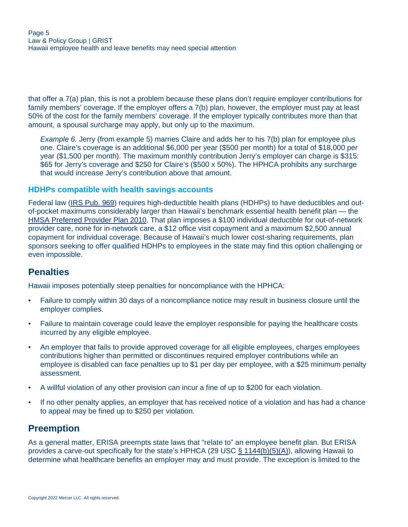that offer a 7(a) plan, this is not a problem because these plans don't require employer contributions for family members' coverage. If the employer offers a 7(b) plan, however, the employer must pay at least 50% of the cost for the family members' coverage. If the employer typically contributes more than that amount, a spousal surcharge may apply, but only up to the maximum.

*Example 6.* Jerry (from example 5) marries Claire and adds her to his 7(b) plan for employee plus one. Claire's coverage is an additional \$6,000 per year (\$500 per month) for a total of \$18,000 per year (\$1,500 per month). The maximum monthly contribution Jerry's employer can charge is \$315: \$65 for Jerry's coverage and \$250 for Claire's (\$500 x 50%). The HPHCA prohibits any surcharge that would increase Jerry's contribution above that amount.

#### **HDHPs compatible with health savings accounts**

Federal law [\(IRS Pub. 969\)](https://www.irs.gov/pub/irs-pdf/p969.pdf) requires high-deductible health plans (HDHPs) to have deductibles and outof-pocket maximums considerably larger than Hawaii's benchmark essential health benefit plan — the [HMSA Preferred Provider Plan 2010.](https://hmsa.com/mediacenter/print/assets/ppp_benefitsummary(800).pdf) That plan imposes a \$100 individual deductible for out-of-network provider care, none for in-network care, a \$12 office visit copayment and a maximum \$2,500 annual copayment for individual coverage. Because of Hawaii's much lower cost-sharing requirements, plan sponsors seeking to offer qualified HDHPs to employees in the state may find this option challenging or even impossible.

#### **Penalties**

Hawaii imposes potentially steep penalties for noncompliance with the HPHCA:

- Failure to comply within 30 days of a noncompliance notice may result in business closure until the employer complies.
- Failure to maintain coverage could leave the employer responsible for paying the healthcare costs incurred by any eligible employee.
- An employer that fails to provide approved coverage for all eligible employees, charges employees contributions higher than permitted or discontinues required employer contributions while an employee is disabled can face penalties up to \$1 per day per employee, with a \$25 minimum penalty assessment.
- A willful violation of any other provision can incur a fine of up to \$200 for each violation.
- If no other penalty applies, an employer that has received notice of a violation and has had a chance to appeal may be fined up to \$250 per violation.

#### **Preemption**

As a general matter, ERISA preempts state laws that "relate to" an employee benefit plan. But ERISA provides a carve-out specifically for the state's HPHCA (29 USC [§ 1144\(b\)\(5\)\(A\)\)](https://www.law.cornell.edu/uscode/text/29/1144#:~:text=hawaii%20prepaid%20health%20care%20act), allowing Hawaii to determine what healthcare benefits an employer may and must provide. The exception is limited to the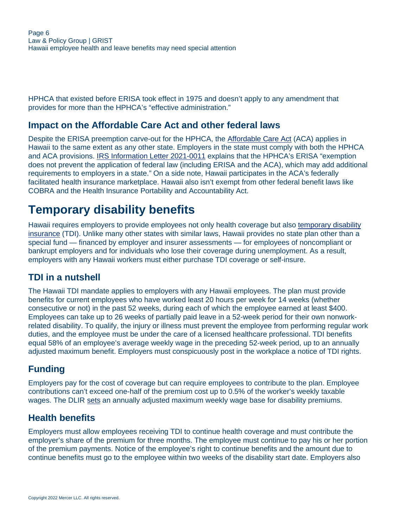HPHCA that existed before ERISA took effect in 1975 and doesn't apply to any amendment that provides for more than the HPHCA's "effective administration."

# **Impact on the Affordable Care Act and other federal laws**

Despite the ERISA preemption carve-out for the HPHCA, the [Affordable Care Act](https://www.congress.gov/111/plaws/publ148/PLAW-111publ148.pdf) (ACA) applies in Hawaii to the same extent as any other state. Employers in the state must comply with both the HPHCA and ACA provisions. [IRS Information Letter 2021-0011](https://www.irs.gov/pub/irs-wd/21-0011.pdf) explains that the HPHCA's ERISA "exemption does not prevent the application of federal law (including ERISA and the ACA), which may add additional requirements to employers in a state." On a side note, Hawaii participates in the ACA's federally facilitated health insurance marketplace. Hawaii also isn't exempt from other federal benefit laws like COBRA and the Health Insurance Portability and Accountability Act.

# <span id="page-5-0"></span>**Temporary disability benefits**

Hawaii requires employers to provide employees not only health coverage but also [temporary disability](http://www.capitol.hawaii.gov/hrscurrent/Vol07_Ch0346-0398/HRS0392/HRS_0392-.htm) [insurance](http://www.capitol.hawaii.gov/hrscurrent/Vol07_Ch0346-0398/HRS0392/HRS_0392-.htm) (TDI). Unlike many other states with similar laws, Hawaii provides no state plan other than a special fund — financed by employer and insurer assessments — for employees of noncompliant or bankrupt employers and for individuals who lose their coverage during unemployment. As a result, employers with any Hawaii workers must either purchase TDI coverage or self-insure.

# **TDI in a nutshell**

The Hawaii TDI mandate applies to employers with any Hawaii employees. The plan must provide benefits for current employees who have worked least 20 hours per week for 14 weeks (whether consecutive or not) in the past 52 weeks, during each of which the employee earned at least \$400. Employees can take up to 26 weeks of partially paid leave in a 52-week period for their own nonworkrelated disability. To qualify, the injury or illness must prevent the employee from performing regular work duties, and the employee must be under the care of a licensed healthcare professional. TDI benefits equal 58% of an employee's average weekly wage in the preceding 52-week period, up to an annually adjusted maximum benefit. Employers must conspicuously post in the workplace a notice of TDI rights.

# **Funding**

Employers pay for the cost of coverage but can require employees to contribute to the plan. Employee contributions can't exceed one-half of the premium cost up to 0.5% of the worker's weekly taxable wages. The DLIR [sets](https://labor.hawaii.gov/dcd/files/2019/11/newWBA.pdf) an annually adjusted maximum weekly wage base for disability premiums.

## **Health benefits**

Employers must allow employees receiving TDI to continue health coverage and must contribute the employer's share of the premium for three months. The employee must continue to pay his or her portion of the premium payments. Notice of the employee's right to continue benefits and the amount due to continue benefits must go to the employee within two weeks of the disability start date. Employers also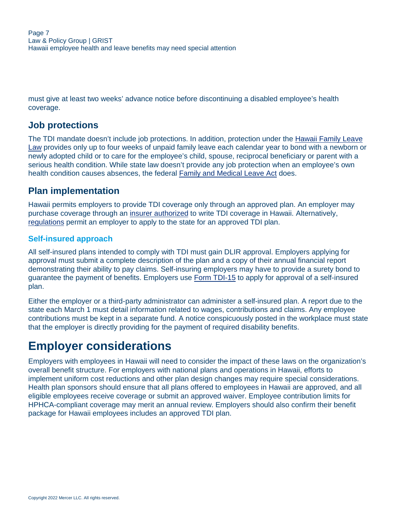must give at least two weeks' advance notice before discontinuing a disabled employee's health coverage.

# **Job protections**

The TDI mandate doesn't include job protections. In addition, protection under the [Hawaii Family Leave](https://dhrd.hawaii.gov/state-employees/employee-benefits/family-friendly-benefits/family-and-medical-leave/) [Law](https://dhrd.hawaii.gov/state-employees/employee-benefits/family-friendly-benefits/family-and-medical-leave/) provides only up to four weeks of unpaid family leave each calendar year to bond with a newborn or newly adopted child or to care for the employee's child, spouse, reciprocal beneficiary or parent with a serious health condition. While state law doesn't provide any job protection when an employee's own health condition causes absences, the federal [Family and Medical Leave Act](https://www.dol.gov/agencies/whd/fmla) does.

# **Plan implementation**

Hawaii permits employers to provide TDI coverage only through an approved plan. An employer may purchase coverage through an [insurer authorized](https://labor.hawaii.gov/dcd/files/2013/01/TDI-Carriers.pdf) to write TDI coverage in Hawaii. Alternatively, [regulations](https://labor.hawaii.gov/dcd/files/2012/11/TDI-Admin-Rules.pdf) permit an employer to apply to the state for an approved TDI plan.

#### **Self-insured approach**

All self-insured plans intended to comply with TDI must gain DLIR approval. Employers applying for approval must submit a complete description of the plan and a copy of their annual financial report demonstrating their ability to pay claims. Self-insuring employers may have to provide a surety bond to guarantee the payment of benefits. Employers use [Form TDI-15](https://labor.hawaii.gov/dcd/files/2015/07/Form-TDI-15.pdf) to apply for approval of a self-insured plan.

Either the employer or a third-party administrator can administer a self-insured plan. A report due to the state each March 1 must detail information related to wages, contributions and claims. Any employee contributions must be kept in a separate fund. A notice conspicuously posted in the workplace must state that the employer is directly providing for the payment of required disability benefits.

# <span id="page-6-0"></span>**Employer considerations**

Employers with employees in Hawaii will need to consider the impact of these laws on the organization's overall benefit structure. For employers with national plans and operations in Hawaii, efforts to implement uniform cost reductions and other plan design changes may require special considerations. Health plan sponsors should ensure that all plans offered to employees in Hawaii are approved, and all eligible employees receive coverage or submit an approved waiver. Employee contribution limits for HPHCA-compliant coverage may merit an annual review. Employers should also confirm their benefit package for Hawaii employees includes an approved TDI plan.